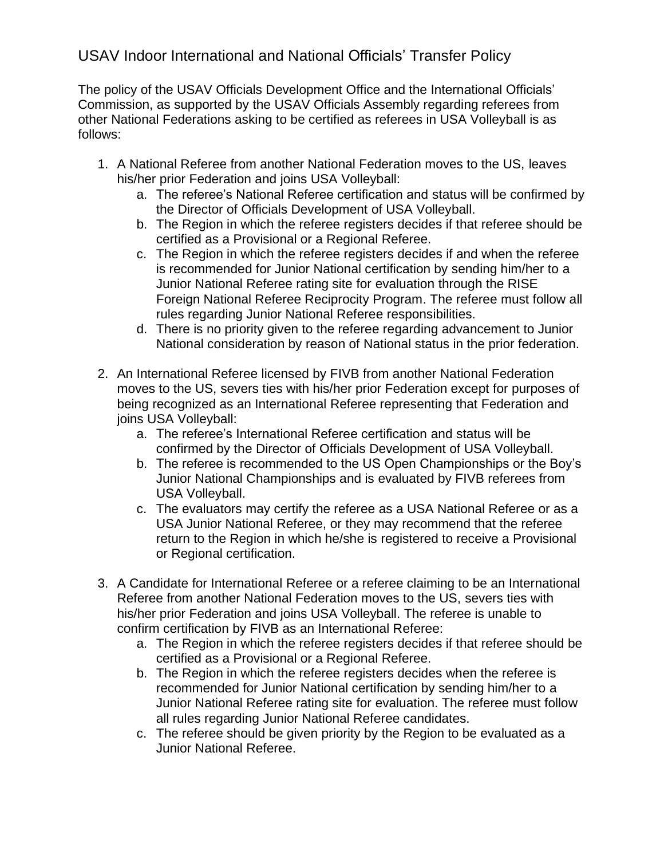## USAV Indoor International and National Officials' Transfer Policy

The policy of the USAV Officials Development Office and the International Officials' Commission, as supported by the USAV Officials Assembly regarding referees from other National Federations asking to be certified as referees in USA Volleyball is as follows:

- 1. A National Referee from another National Federation moves to the US, leaves his/her prior Federation and joins USA Volleyball:
	- a. The referee's National Referee certification and status will be confirmed by the Director of Officials Development of USA Volleyball.
	- b. The Region in which the referee registers decides if that referee should be certified as a Provisional or a Regional Referee.
	- c. The Region in which the referee registers decides if and when the referee is recommended for Junior National certification by sending him/her to a Junior National Referee rating site for evaluation through the RISE Foreign National Referee Reciprocity Program. The referee must follow all rules regarding Junior National Referee responsibilities.
	- d. There is no priority given to the referee regarding advancement to Junior National consideration by reason of National status in the prior federation.
- 2. An International Referee licensed by FIVB from another National Federation moves to the US, severs ties with his/her prior Federation except for purposes of being recognized as an International Referee representing that Federation and joins USA Volleyball:
	- a. The referee's International Referee certification and status will be confirmed by the Director of Officials Development of USA Volleyball.
	- b. The referee is recommended to the US Open Championships or the Boy's Junior National Championships and is evaluated by FIVB referees from USA Volleyball.
	- c. The evaluators may certify the referee as a USA National Referee or as a USA Junior National Referee, or they may recommend that the referee return to the Region in which he/she is registered to receive a Provisional or Regional certification.
- 3. A Candidate for International Referee or a referee claiming to be an International Referee from another National Federation moves to the US, severs ties with his/her prior Federation and joins USA Volleyball. The referee is unable to confirm certification by FIVB as an International Referee:
	- a. The Region in which the referee registers decides if that referee should be certified as a Provisional or a Regional Referee.
	- b. The Region in which the referee registers decides when the referee is recommended for Junior National certification by sending him/her to a Junior National Referee rating site for evaluation. The referee must follow all rules regarding Junior National Referee candidates.
	- c. The referee should be given priority by the Region to be evaluated as a Junior National Referee.